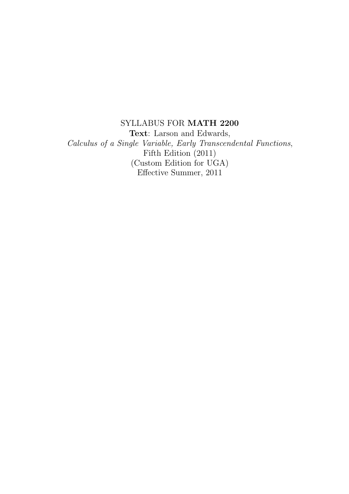SYLLABUS FOR MATH 2200 Text: Larson and Edwards, *Calculus of a Single Variable, Early Transcendental Functions*, Fifth Edition (2011) (Custom Edition for UGA) Effective Summer, 2011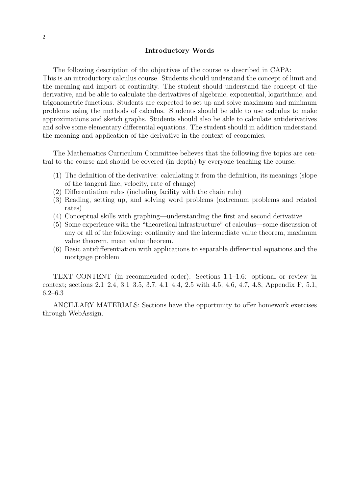## Introductory Words

The following description of the objectives of the course as described in CAPA: This is an introductory calculus course. Students should understand the concept of limit and the meaning and import of continuity. The student should understand the concept of the derivative, and be able to calculate the derivatives of algebraic, exponential, logarithmic, and trigonometric functions. Students are expected to set up and solve maximum and minimum problems using the methods of calculus. Students should be able to use calculus to make approximations and sketch graphs. Students should also be able to calculate antiderivatives and solve some elementary differential equations. The student should in addition understand the meaning and application of the derivative in the context of economics.

The Mathematics Curriculum Committee believes that the following five topics are central to the course and should be covered (in depth) by everyone teaching the course.

- (1) The definition of the derivative: calculating it from the definition, its meanings (slope of the tangent line, velocity, rate of change)
- (2) Differentiation rules (including facility with the chain rule)
- (3) Reading, setting up, and solving word problems (extremum problems and related rates)
- (4) Conceptual skills with graphing—understanding the first and second derivative
- (5) Some experience with the "theoretical infrastructure" of calculus—some discussion of any or all of the following: continuity and the intermediate value theorem, maximum value theorem, mean value theorem.
- (6) Basic antidifferentiation with applications to separable differential equations and the mortgage problem

TEXT CONTENT (in recommended order): Sections 1.1–1.6: optional or review in context; sections 2.1–2.4, 3.1–3.5, 3.7, 4.1–4.4, 2.5 with 4.5, 4.6, 4.7, 4.8, Appendix F, 5.1, 6.2–6.3

ANCILLARY MATERIALS: Sections have the opportunity to offer homework exercises through WebAssign.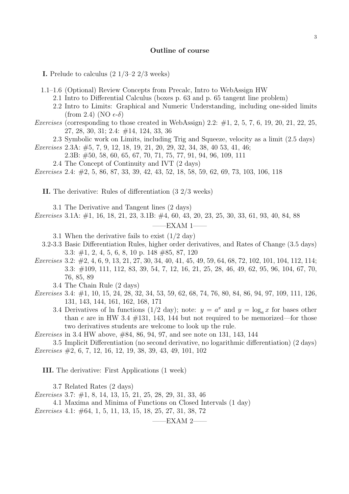## Outline of course

**I.** Prelude to calculus  $(2 \frac{1}{3} - 2 \frac{2}{3} \text{ weeks})$ 

1.1–1.6 (Optional) Review Concepts from Precalc, Intro to WebAssign HW

- 2.1 Intro to Differential Calculus (boxes p. 63 and p. 65 tangent line problem)
- 2.2 Intro to Limits: Graphical and Numeric Understanding, including one-sided limits (from 2.4) (NO  $\epsilon$ -δ)
- *Exercises* (corresponding to those created in WebAssign) 2.2: #1, 2, 5, 7, 6, 19, 20, 21, 22, 25, 27, 28, 30, 31; 2.4: #14, 124, 33, 36
	- 2.3 Symbolic work on Limits, including Trig and Squeeze, velocity as a limit (2.5 days)

*Exercises* 2.3A: #5, 7, 9, 12, 18, 19, 21, 20, 29, 32, 34, 38, 40 53, 41, 46;

- 2.3B: #50, 58, 60, 65, 67, 70, 71, 75, 77, 91, 94, 96, 109, 111
- 2.4 The Concept of Continuity and IVT (2 days)

*Exercises* 2.4: #2, 5, 86, 87, 33, 39, 42, 43, 52, 18, 58, 59, 62, 69, 73, 103, 106, 118

II. The derivative: Rules of differentiation (3 2/3 weeks)

3.1 The Derivative and Tangent lines (2 days)

*Exercises* 3.1A: #1, 16, 18, 21, 23, 3.1B: #4, 60, 43, 20, 23, 25, 30, 33, 61, 93, 40, 84, 88

 $-{\rm EXAM}$  1–

3.1 When the derivative fails to exist  $(1/2 \text{ day})$ 

- 3.2-3.3 Basic Differentiation Rules, higher order derivatives, and Rates of Change (3.5 days) 3.3: #1, 2, 4, 5, 6, 8, 10 p. 148 #85, 87, 120
- *Exercises* 3.2: #2, 4, 6, 9, 13, 21, 27, 30, 34, 40, 41, 45, 49, 59, 64, 68, 72, 102, 101, 104, 112, 114; 3.3: #109, 111, 112, 83, 39, 54, 7, 12, 16, 21, 25, 28, 46, 49, 62, 95, 96, 104, 67, 70, 76, 85, 89

3.4 The Chain Rule (2 days)

- *Exercises* 3.4: #1, 10, 15, 24, 28, 32, 34, 53, 59, 62, 68, 74, 76, 80, 84, 86, 94, 97, 109, 111, 126, 131, 143, 144, 161, 162, 168, 171
	- 3.4 Derivatives of ln functions (1/2 day); note:  $y = a^x$  and  $y = \log_a x$  for bases other than e are in HW 3.4  $\#131$ , 143, 144 but not required to be memorized—for those two derivatives students are welcome to look up the rule.

*Exercises* in 3.4 HW above, #84, 86, 94, 97, and see note on 131, 143, 144

3.5 Implicit Differentiation (no second derivative, no logarithmic differentiation) (2 days) *Exercises* #2, 6, 7, 12, 16, 12, 19, 38, 39, 43, 49, 101, 102

III. The derivative: First Applications (1 week)

3.7 Related Rates (2 days)

*Exercises* 3.7: #1, 8, 14, 13, 15, 21, 25, 28, 29, 31, 33, 46

4.1 Maxima and Minima of Functions on Closed Intervals (1 day) *Exercises* 4.1: #64, 1, 5, 11, 13, 15, 18, 25, 27, 31, 38, 72

 $-EXAMPLEXAM$  2-